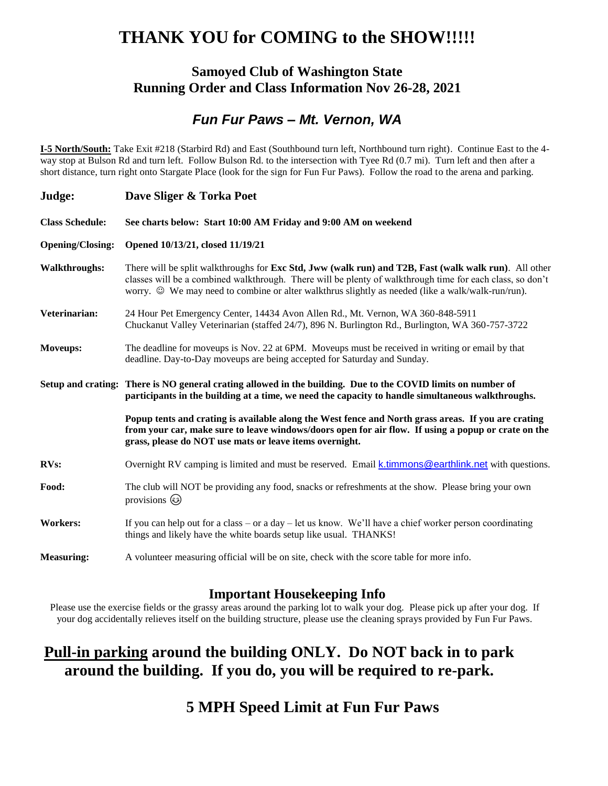## **THANK YOU for COMING to the SHOW!!!!!**

#### **Samoyed Club of Washington State Running Order and Class Information Nov 26-28, 2021**

### *Fun Fur Paws – Mt. Vernon, WA*

**I-5 North/South:** Take Exit #218 (Starbird Rd) and East (Southbound turn left, Northbound turn right). Continue East to the 4 way stop at Bulson Rd and turn left. Follow Bulson Rd. to the intersection with Tyee Rd (0.7 mi). Turn left and then after a short distance, turn right onto Stargate Place (look for the sign for Fun Fur Paws). Follow the road to the arena and parking.

| Judge:                  | Dave Sliger & Torka Poet                                                                                                                                                                                                                                                                                                        |
|-------------------------|---------------------------------------------------------------------------------------------------------------------------------------------------------------------------------------------------------------------------------------------------------------------------------------------------------------------------------|
| <b>Class Schedule:</b>  | See charts below: Start 10:00 AM Friday and 9:00 AM on weekend                                                                                                                                                                                                                                                                  |
| <b>Opening/Closing:</b> | Opened 10/13/21, closed 11/19/21                                                                                                                                                                                                                                                                                                |
| <b>Walkthroughs:</b>    | There will be split walkthroughs for <b>Exc Std, Jww (walk run) and T2B, Fast (walk walk run)</b> . All other<br>classes will be a combined walkthrough. There will be plenty of walkthrough time for each class, so don't<br>worry. © We may need to combine or alter walkthrus slightly as needed (like a walk/walk-run/run). |
| Veterinarian:           | 24 Hour Pet Emergency Center, 14434 Avon Allen Rd., Mt. Vernon, WA 360-848-5911<br>Chuckanut Valley Veterinarian (staffed 24/7), 896 N. Burlington Rd., Burlington, WA 360-757-3722                                                                                                                                             |
| Moveups:                | The deadline for moveups is Nov. 22 at 6PM. Moveups must be received in writing or email by that<br>deadline. Day-to-Day moveups are being accepted for Saturday and Sunday.                                                                                                                                                    |
|                         | Setup and crating: There is NO general crating allowed in the building. Due to the COVID limits on number of<br>participants in the building at a time, we need the capacity to handle simultaneous walkthroughs.                                                                                                               |
|                         | Popup tents and crating is available along the West fence and North grass areas. If you are crating<br>from your car, make sure to leave windows/doors open for air flow. If using a popup or crate on the<br>grass, please do NOT use mats or leave items overnight.                                                           |
| <b>RVs:</b>             | Overnight RV camping is limited and must be reserved. Email k.timmons@earthlink.net with questions.                                                                                                                                                                                                                             |
| Food:                   | The club will NOT be providing any food, snacks or refreshments at the show. Please bring your own<br>provisions $\odot$                                                                                                                                                                                                        |
| <b>Workers:</b>         | If you can help out for a class – or a day – let us know. We'll have a chief worker person coordinating<br>things and likely have the white boards setup like usual. THANKS!                                                                                                                                                    |
| <b>Measuring:</b>       | A volunteer measuring official will be on site, check with the score table for more info.                                                                                                                                                                                                                                       |

#### **Important Housekeeping Info**

Please use the exercise fields or the grassy areas around the parking lot to walk your dog. Please pick up after your dog. If your dog accidentally relieves itself on the building structure, please use the cleaning sprays provided by Fun Fur Paws.

## **Pull-in parking around the building ONLY. Do NOT back in to park around the building. If you do, you will be required to re-park.**

### **5 MPH Speed Limit at Fun Fur Paws**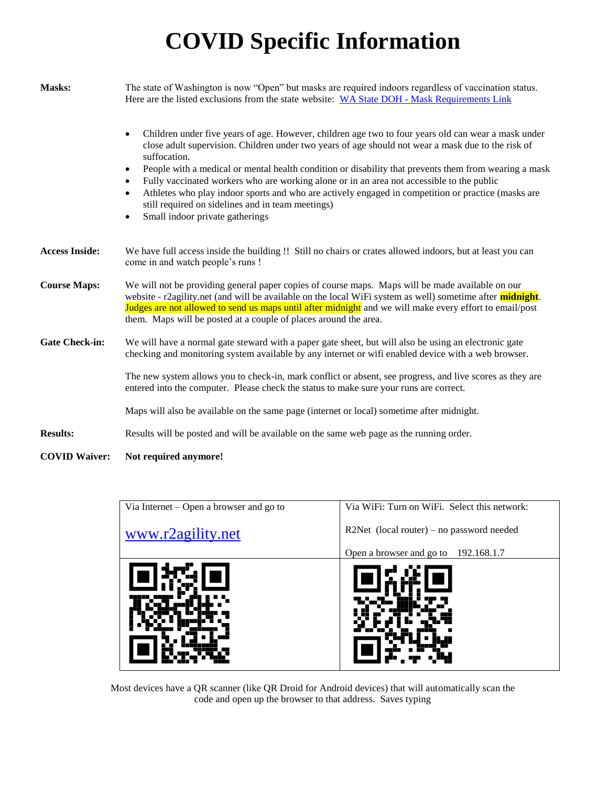# **COVID Specific Information**

| Masks:                | The state of Washington is now "Open" but masks are required indoors regardless of vaccination status.<br>Here are the listed exclusions from the state website: WA State DOH - Mask Requirements Link                                                                                                                                                                                                                                                                                                                                                                                                                                                                    |  |  |  |  |  |  |  |  |  |
|-----------------------|---------------------------------------------------------------------------------------------------------------------------------------------------------------------------------------------------------------------------------------------------------------------------------------------------------------------------------------------------------------------------------------------------------------------------------------------------------------------------------------------------------------------------------------------------------------------------------------------------------------------------------------------------------------------------|--|--|--|--|--|--|--|--|--|
|                       | Children under five years of age. However, children age two to four years old can wear a mask under<br>$\bullet$<br>close adult supervision. Children under two years of age should not wear a mask due to the risk of<br>suffocation.<br>People with a medical or mental health condition or disability that prevents them from wearing a mask<br>٠<br>Fully vaccinated workers who are working alone or in an area not accessible to the public<br>$\bullet$<br>Athletes who play indoor sports and who are actively engaged in competition or practice (masks are<br>still required on sidelines and in team meetings)<br>Small indoor private gatherings<br>$\bullet$ |  |  |  |  |  |  |  |  |  |
| <b>Access Inside:</b> | We have full access inside the building !! Still no chairs or crates allowed indoors, but at least you can<br>come in and watch people's runs !                                                                                                                                                                                                                                                                                                                                                                                                                                                                                                                           |  |  |  |  |  |  |  |  |  |
| <b>Course Maps:</b>   | We will not be providing general paper copies of course maps. Maps will be made available on our<br>website - r2agility.net (and will be available on the local WiFi system as well) sometime after <b>midnight</b> .<br>Judges are not allowed to send us maps until after midnight and we will make every effort to email/post<br>them. Maps will be posted at a couple of places around the area.                                                                                                                                                                                                                                                                      |  |  |  |  |  |  |  |  |  |
| <b>Gate Check-in:</b> | We will have a normal gate steward with a paper gate sheet, but will also be using an electronic gate<br>checking and monitoring system available by any internet or wifi enabled device with a web browser.                                                                                                                                                                                                                                                                                                                                                                                                                                                              |  |  |  |  |  |  |  |  |  |
|                       | The new system allows you to check-in, mark conflict or absent, see progress, and live scores as they are<br>entered into the computer. Please check the status to make sure your runs are correct.                                                                                                                                                                                                                                                                                                                                                                                                                                                                       |  |  |  |  |  |  |  |  |  |
|                       | Maps will also be available on the same page (internet or local) sometime after midnight.                                                                                                                                                                                                                                                                                                                                                                                                                                                                                                                                                                                 |  |  |  |  |  |  |  |  |  |
| <b>Results:</b>       | Results will be posted and will be available on the same web page as the running order.                                                                                                                                                                                                                                                                                                                                                                                                                                                                                                                                                                                   |  |  |  |  |  |  |  |  |  |
| <b>COVID Waiver:</b>  | Not required anymore!                                                                                                                                                                                                                                                                                                                                                                                                                                                                                                                                                                                                                                                     |  |  |  |  |  |  |  |  |  |

| Via Internet – Open a browser and go to<br>www.r2agility.net | Via WiFi: Turn on WiFi. Select this network:<br>R2Net (local router) – no password needed<br>Open a browser and go to 192.168.1.7 |
|--------------------------------------------------------------|-----------------------------------------------------------------------------------------------------------------------------------|
|                                                              |                                                                                                                                   |

Most devices have a QR scanner (like QR Droid for Android devices) that will automatically scan the code and open up the browser to that address. Saves typing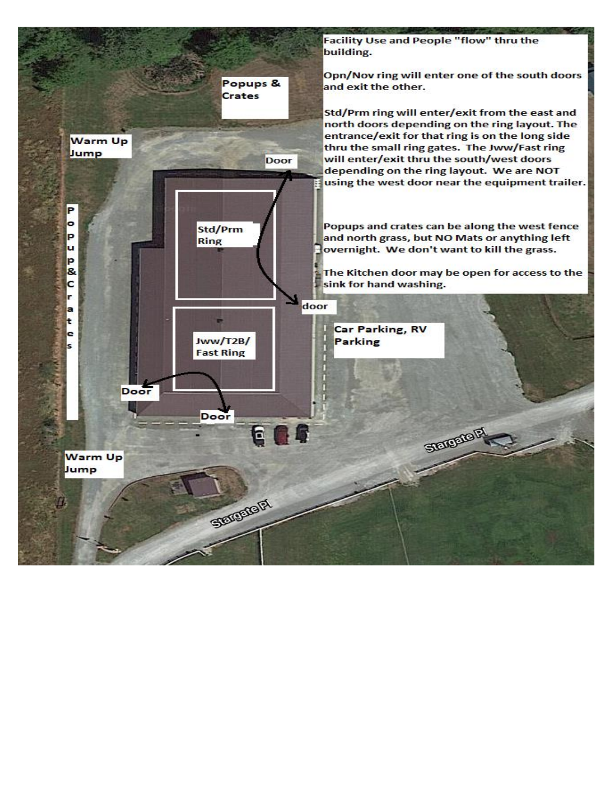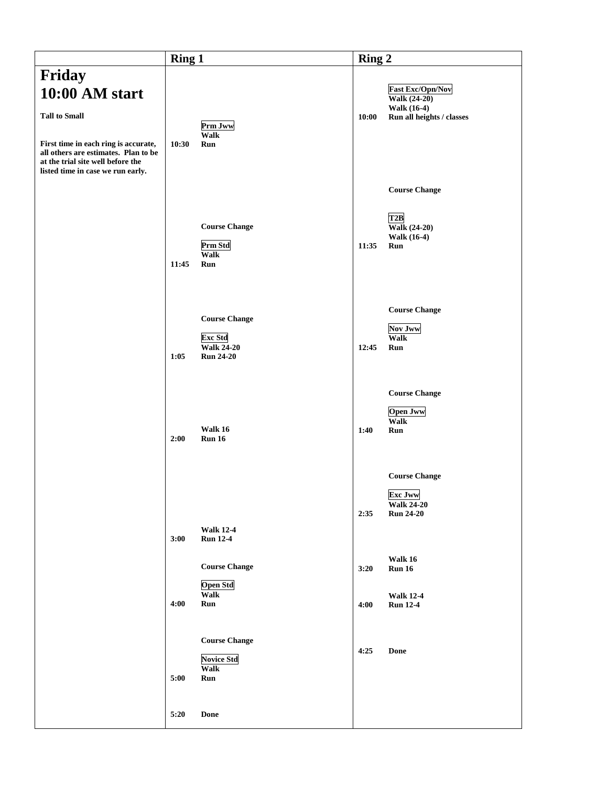|                                                                                                                                                                                | <b>Ring 1</b> |                                                                                 | Ring 2 |                                                                                 |  |  |
|--------------------------------------------------------------------------------------------------------------------------------------------------------------------------------|---------------|---------------------------------------------------------------------------------|--------|---------------------------------------------------------------------------------|--|--|
| Friday                                                                                                                                                                         |               |                                                                                 |        |                                                                                 |  |  |
| 10:00 AM start                                                                                                                                                                 |               |                                                                                 |        | <b>Fast Exc/Opn/Nov</b><br>Walk $(24-20)$<br><b>Walk (16-4)</b>                 |  |  |
| <b>Tall to Small</b><br>First time in each ring is accurate,<br>all others are estimates. Plan to be<br>at the trial site well before the<br>listed time in case we run early. | 10:30         | Prm Jww<br><b>Walk</b><br><b>Run</b>                                            | 10:00  | Run all heights / classes                                                       |  |  |
|                                                                                                                                                                                |               |                                                                                 |        | <b>Course Change</b>                                                            |  |  |
|                                                                                                                                                                                | 11:45         | <b>Course Change</b><br>Prm Std<br><b>Walk</b><br><b>Run</b>                    | 11:35  | T2B<br>Walk (24-20)<br><b>Walk (16-4)</b><br><b>Run</b>                         |  |  |
|                                                                                                                                                                                | 1:05          | <b>Course Change</b><br><b>Exc Std</b><br><b>Walk 24-20</b><br><b>Run 24-20</b> | 12:45  | <b>Course Change</b><br>Nov Jww<br><b>Walk</b><br><b>Run</b>                    |  |  |
|                                                                                                                                                                                | 2:00          | Walk 16<br><b>Run 16</b>                                                        | 1:40   | <b>Course Change</b><br><b>Open Jww</b><br>Walk<br><b>Run</b>                   |  |  |
|                                                                                                                                                                                | 3:00          | <b>Walk 12-4</b><br><b>Run 12-4</b>                                             | 2:35   | <b>Course Change</b><br><b>Exc Jww</b><br><b>Walk 24-20</b><br><b>Run 24-20</b> |  |  |
|                                                                                                                                                                                |               | <b>Course Change</b><br><b>Open Std</b>                                         | 3:20   | Walk 16<br><b>Run 16</b>                                                        |  |  |
|                                                                                                                                                                                | 4:00          | <b>Walk</b><br>Run                                                              | 4:00   | <b>Walk 12-4</b><br><b>Run 12-4</b>                                             |  |  |
|                                                                                                                                                                                | 5:00          | <b>Course Change</b><br><b>Novice Std</b><br><b>Walk</b><br>Run                 | 4:25   | <b>Done</b>                                                                     |  |  |
|                                                                                                                                                                                | 5:20          | Done                                                                            |        |                                                                                 |  |  |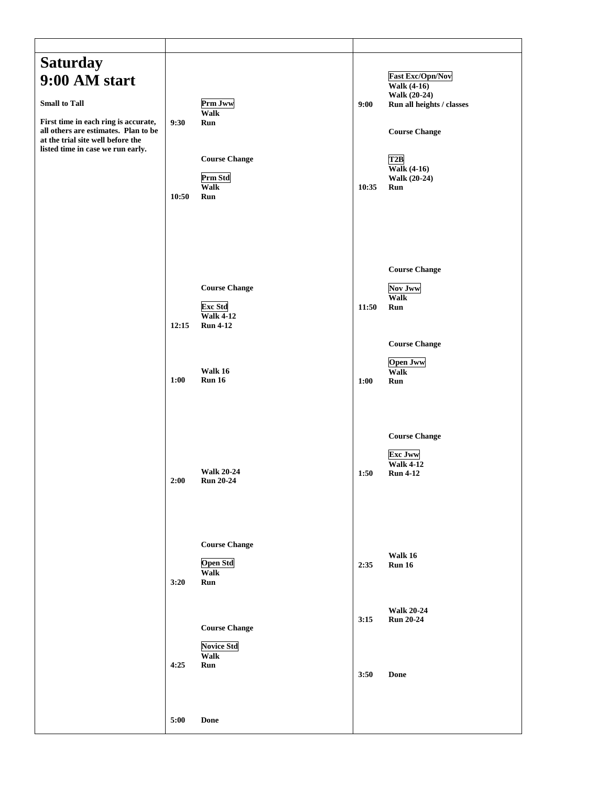| <b>Saturday</b><br>9:00 AM start<br><b>Small to Tall</b><br>First time in each ring is accurate,<br>all others are estimates. Plan to be<br>at the trial site well before the<br>listed time in case we run early. | 9:30<br>10:50 | Prm Jww<br><b>Walk</b><br>Run<br><b>Course Change</b><br>Prm Std<br><b>Walk</b><br>Run                    | 9:00<br>10:35 | <b>Fast Exc/Opn/Nov</b><br>Walk $(4-16)$<br>Walk (20-24)<br>Run all heights / classes<br><b>Course Change</b><br>T2B<br>Walk $(4-16)$<br>Walk (20-24)<br><b>Run</b> |
|--------------------------------------------------------------------------------------------------------------------------------------------------------------------------------------------------------------------|---------------|-----------------------------------------------------------------------------------------------------------|---------------|---------------------------------------------------------------------------------------------------------------------------------------------------------------------|
|                                                                                                                                                                                                                    | 12:15<br>1:00 | <b>Course Change</b><br><b>Exc Std</b><br><b>Walk 4-12</b><br><b>Run 4-12</b><br>Walk 16<br><b>Run 16</b> | 11:50<br>1:00 | <b>Course Change</b><br><b>Nov Jww</b><br><b>Walk</b><br>Run<br><b>Course Change</b><br><b>Open Jww</b><br><b>Walk</b><br>Run                                       |
|                                                                                                                                                                                                                    | 2:00          | <b>Walk 20-24</b><br><b>Run 20-24</b>                                                                     | 1:50          | <b>Course Change</b><br><b>Exc Jww</b><br>Walk $4-12$<br><b>Run 4-12</b>                                                                                            |
|                                                                                                                                                                                                                    | 3:20          | <b>Course Change</b><br><b>Open Std</b><br><b>Walk</b><br>Run                                             | 2:35          | Walk 16<br><b>Run 16</b>                                                                                                                                            |
|                                                                                                                                                                                                                    | 4:25          | <b>Course Change</b><br><b>Novice Std</b><br><b>Walk</b><br>Run                                           | 3:15<br>3:50  | <b>Walk 20-24</b><br><b>Run 20-24</b><br>Done                                                                                                                       |
|                                                                                                                                                                                                                    | 5:00          | $\mathbf{Done}$                                                                                           |               |                                                                                                                                                                     |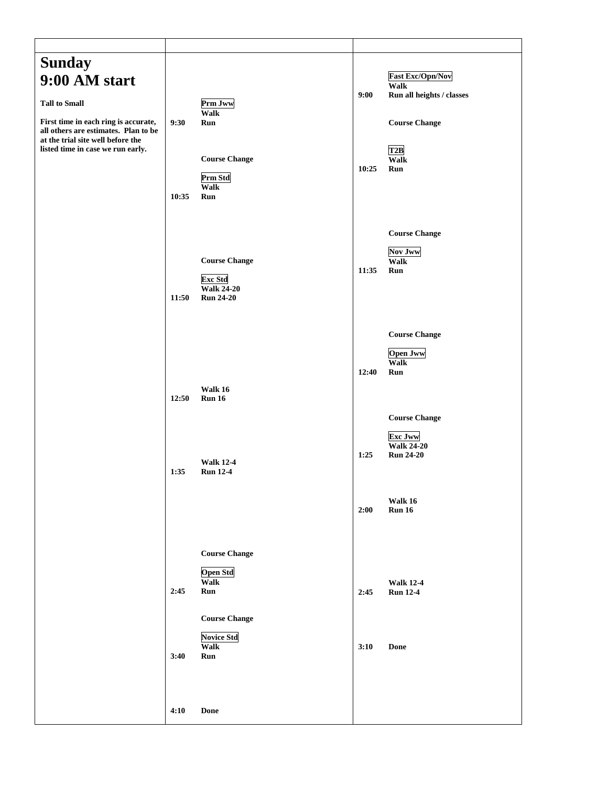| <b>Sunday</b><br>9:00 AM start<br><b>Tall to Small</b><br>First time in each ring is accurate,<br>all others are estimates. Plan to be<br>at the trial site well before the<br>listed time in case we run early. | 9:30<br>10:35 | Prm Jww<br>Walk<br>Run<br><b>Course Change</b><br>Prm Std<br>Walk<br>Run        | 9:00<br>10:25 | <b>Fast Exc/Opn/Nov</b><br>Walk<br>Run all heights / classes<br><b>Course Change</b><br>T2B<br><b>Walk</b><br>Run |
|------------------------------------------------------------------------------------------------------------------------------------------------------------------------------------------------------------------|---------------|---------------------------------------------------------------------------------|---------------|-------------------------------------------------------------------------------------------------------------------|
|                                                                                                                                                                                                                  | 11:50         | <b>Course Change</b><br><b>Exc Std</b><br><b>Walk 24-20</b><br><b>Run 24-20</b> | 11:35         | <b>Course Change</b><br><b>Nov Jww</b><br><b>Walk</b><br>Run                                                      |
|                                                                                                                                                                                                                  | 12:50         | Walk 16<br><b>Run 16</b>                                                        | 12:40         | <b>Course Change</b><br><b>Open Jww</b><br><b>Walk</b><br>Run<br><b>Course Change</b>                             |
|                                                                                                                                                                                                                  | 1:35          | <b>Walk 12-4</b><br><b>Run 12-4</b>                                             | 1:25          | <b>Exc Jww</b><br><b>Walk 24-20</b><br><b>Run 24-20</b><br>Walk 16                                                |
|                                                                                                                                                                                                                  |               | <b>Course Change</b><br><b>Open Std</b><br>Walk                                 | 2:00          | <b>Run 16</b>                                                                                                     |
|                                                                                                                                                                                                                  | 2:45<br>3:40  | Run<br><b>Course Change</b><br><b>Novice Std</b><br>Walk<br>Run                 | 2:45<br>3:10  | <b>Walk 12-4</b><br><b>Run 12-4</b><br><b>Done</b>                                                                |
|                                                                                                                                                                                                                  | 4:10          | <b>Done</b>                                                                     |               |                                                                                                                   |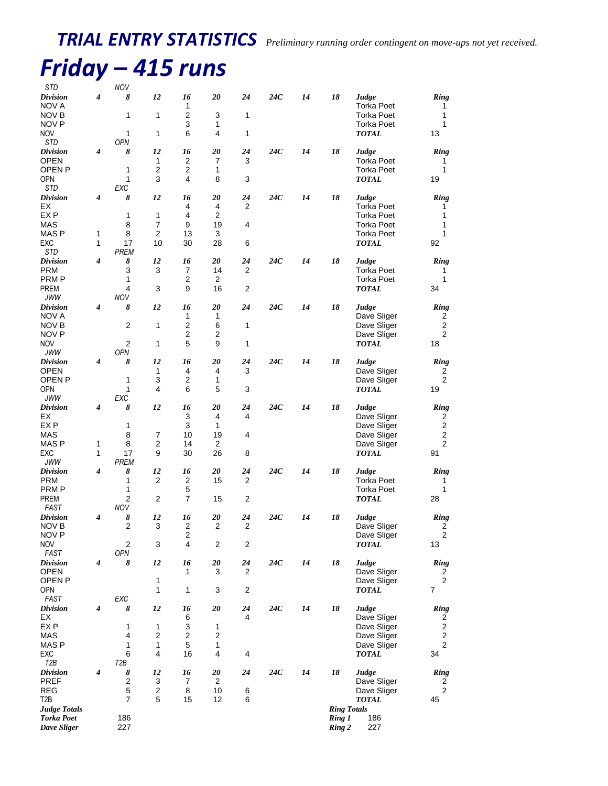### *Friday – 415 runs*  $NOV$

| <b>010</b><br>Division<br>NOV A                                   | 4                | 8                               | 12                           | 16<br>1                       | 20                    | 24                   | 24C | 14 | 18                 | Judge<br><b>Torka Poet</b>                                      | <b>Ring</b><br>1                            |
|-------------------------------------------------------------------|------------------|---------------------------------|------------------------------|-------------------------------|-----------------------|----------------------|-----|----|--------------------|-----------------------------------------------------------------|---------------------------------------------|
| NOV B<br>NOV P                                                    |                  | 1                               | 1                            | 2<br>3                        | 3<br>1                | 1                    |     |    |                    | <b>Torka Poet</b><br><b>Torka Poet</b>                          | 1<br>1                                      |
| <b>NOV</b><br>STD                                                 |                  | 1<br><b>OPN</b>                 | 1                            | 6                             | 4                     | 1                    |     |    |                    | <b>TOTAL</b>                                                    | 13                                          |
| <b>Division</b><br><b>OPEN</b><br>OPEN <sub>P</sub><br><b>OPN</b> | $\boldsymbol{4}$ | 8<br>1<br>1                     | 12<br>1<br>2<br>3            | 16<br>2<br>2<br>4             | 20<br>7<br>1<br>8     | 24<br>3<br>3         | 24C | 14 | 18                 | Judge<br><b>Torka Poet</b><br><b>Torka Poet</b><br><b>TOTAL</b> | <b>Ring</b><br>1<br>1<br>19                 |
| STD<br><b>Division</b>                                            | 4                | <b>EXC</b><br>8                 | 12                           | 16                            | 20                    | 24                   | 24C | 14 | 18                 | Judge                                                           | Ring                                        |
| EX<br>EX <sub>P</sub>                                             |                  | 1                               | 1                            | 4<br>4                        | 4<br>2                | 2                    |     |    |                    | <b>Torka Poet</b><br><b>Torka Poet</b>                          | 1<br>1                                      |
| <b>MAS</b><br>MAS P                                               | 1                | 8<br>8                          | $\overline{7}$<br>2          | 9<br>13                       | 19<br>3               | 4                    |     |    |                    | <b>Torka Poet</b><br><b>Torka Poet</b>                          | 1<br>1                                      |
| EXC<br>STD                                                        | 1                | 17<br><b>PREM</b>               | 10                           | 30                            | 28                    | 6                    |     |    |                    | <b>TOTAL</b>                                                    | 92                                          |
| <b>Division</b><br><b>PRM</b>                                     | 4                | 8<br>3                          | 12<br>3                      | 16<br>7                       | 20<br>14              | 24<br>2              | 24C | 14 | 18                 | Judge<br><b>Torka Poet</b>                                      | <b>Ring</b><br>1                            |
| PRM P<br><b>PREM</b>                                              |                  | 1<br>4                          | 3                            | 2<br>9                        | $\overline{2}$<br>16  | $\overline{2}$       |     |    |                    | <b>Torka Poet</b><br><b>TOTAL</b>                               | 1<br>34                                     |
| <b>JWW</b><br><b>Division</b>                                     | $\boldsymbol{4}$ | NOV<br>8                        | 12                           | 16                            | 20                    | 24                   | 24C | 14 | 18                 | Judge                                                           | Ring                                        |
| NOV A                                                             |                  |                                 |                              | 1<br>2                        | 1                     |                      |     |    |                    | Dave Sliger                                                     | 2                                           |
| NOV B<br>NOV P                                                    |                  | 2                               | $\mathbf{1}$                 | $\overline{2}$                | 6<br>2                | $\mathbf{1}$         |     |    |                    | Dave Sliger<br>Dave Sliger                                      | $\overline{c}$<br>$\overline{2}$            |
| <b>NOV</b><br><b>JWW</b>                                          |                  | $\overline{2}$<br>OPN           | 1                            | 5                             | 9                     | 1                    |     |    |                    | <b>TOTAL</b>                                                    | 18                                          |
| <b>Division</b><br><b>OPEN</b>                                    | 4                | 8                               | 12<br>1                      | 16<br>4                       | 20<br>4               | 24<br>3              | 24C | 14 | 18                 | Judge<br>Dave Sliger                                            | <b>Ring</b><br>2                            |
| <b>OPEN P</b><br><b>OPN</b>                                       |                  | 1<br>1                          | 3<br>4                       | 2<br>6                        | 1<br>5                | 3                    |     |    |                    | Dave Sliger<br><b>TOTAL</b>                                     | $\overline{c}$<br>19                        |
| <b>JWW</b>                                                        |                  | <b>EXC</b>                      |                              |                               |                       |                      |     |    |                    |                                                                 |                                             |
| <b>Division</b><br>EX                                             | 4                | 8                               | 12                           | 16<br>3                       | 20<br>$\overline{4}$  | 24<br>4              | 24C | 14 | 18                 | Judge<br>Dave Sliger                                            | Ring<br>2                                   |
| EX P<br><b>MAS</b>                                                |                  | 1<br>8                          | 7                            | 3<br>10                       | 1<br>19               | 4                    |     |    |                    | Dave Sliger<br>Dave Sliger                                      | $\overline{c}$<br>$\mathbf{2}$              |
| MAS P<br>EXC                                                      | 1<br>1           | 8<br>17                         | 2<br>9                       | 14<br>30                      | 2<br>26               | 8                    |     |    |                    | Dave Sliger<br>TOTAL                                            | $\mathbf{2}$<br>91                          |
| <b>JWW</b>                                                        |                  | <b>PREM</b>                     |                              |                               |                       |                      |     |    |                    |                                                                 |                                             |
| <b>Division</b><br><b>PRM</b>                                     | 4                | 8<br>1                          | 12<br>2                      | 16<br>$\overline{\mathbf{c}}$ | 20<br>15              | 24<br>$\overline{c}$ | 24C | 14 | 18                 | Judge<br><b>Torka Poet</b>                                      | <b>Ring</b><br>1                            |
| <b>PRMP</b><br><b>PREM</b>                                        |                  | 1<br>$\overline{c}$             | 2                            | 5<br>$\overline{7}$           | 15                    | 2                    |     |    |                    | Torka Poet<br><b>TOTAL</b>                                      | 1<br>28                                     |
| FAST<br><b>Division</b>                                           | 4                | <b>NOV</b><br>8                 | 12                           | 16                            | 20                    | 24                   | 24C | 14 | 18                 | Judge                                                           | Ring                                        |
| NOV B                                                             |                  | $\overline{2}$                  | 3                            | 2                             | 2                     | 2                    |     |    |                    | Dave Sliger                                                     | 2                                           |
| NOV <sub>P</sub><br><b>NOV</b>                                    |                  | 2                               | 3                            | 2<br>4                        | $\overline{2}$        | 2                    |     |    |                    | Dave Sliger<br>$\pmb{TOTAL}$                                    | $\boldsymbol{2}$<br>13                      |
| FAST<br><b>Division</b>                                           | 4                | OPN<br>8                        | 12                           | 16                            | 20                    | 24                   | 24C | 14 | 18                 | Judge                                                           | <b>Ring</b>                                 |
| OPEN<br>OPEN <sub>P</sub>                                         |                  |                                 | $\mathbf{1}$                 | 1                             | 3                     | 2                    |     |    |                    | Dave Sliger<br>Dave Sliger                                      | 2<br>$\overline{\mathbf{c}}$                |
| <b>OPN</b><br>FAST                                                |                  | EXC                             | 1                            | 1                             | 3                     | $\overline{c}$       |     |    |                    | <b>TOTAL</b>                                                    | 7                                           |
| <b>Division</b>                                                   | 4                | 8                               | 12                           | 16                            | 20                    | 24                   | 24C | 14 | 18                 | Judge                                                           | Ring                                        |
| EX<br>EX <sub>P</sub>                                             |                  | 1                               | 1                            | 6<br>3                        | 1                     | 4                    |     |    |                    | Dave Sliger<br>Dave Sliger                                      | 2<br>$\overline{\mathbf{c}}$                |
| <b>MAS</b><br>MAS P                                               |                  | 4<br>1                          | $\boldsymbol{2}$<br>1        | 2<br>5                        | $\boldsymbol{2}$<br>1 |                      |     |    |                    | Dave Sliger<br>Dave Sliger                                      | $\boldsymbol{2}$<br>$\overline{\mathbf{c}}$ |
| EXC<br>T <sub>2</sub> B                                           |                  | 6<br>T <sub>2</sub> B           | 4                            | 16                            | 4                     | 4                    |     |    |                    | <b>TOTAL</b>                                                    | 34                                          |
| <b>Division</b>                                                   | 4                | 8                               | 12                           | 16                            | 20                    | 24                   | 24C | 14 | 18                 | Judge                                                           | Ring                                        |
| PREF<br><b>REG</b>                                                |                  | $\boldsymbol{2}$<br>$\mathbf 5$ | 3<br>$\overline{\mathbf{c}}$ | 7<br>8                        | $\overline{2}$<br>10  | 6                    |     |    |                    | Dave Sliger<br>Dave Sliger                                      | 2<br>$\overline{c}$                         |
| T <sub>2</sub> B<br><b>Judge Totals</b>                           |                  | $\overline{7}$                  | 5                            | 15                            | 12                    | 6                    |     |    | <b>Ring Totals</b> | TOTAL                                                           | 45                                          |
| <b>Torka Poet</b><br>Dave Sliger                                  |                  | 186<br>227                      |                              |                               |                       |                      |     |    | Ring 1<br>Ring 2   | 186<br>227                                                      |                                             |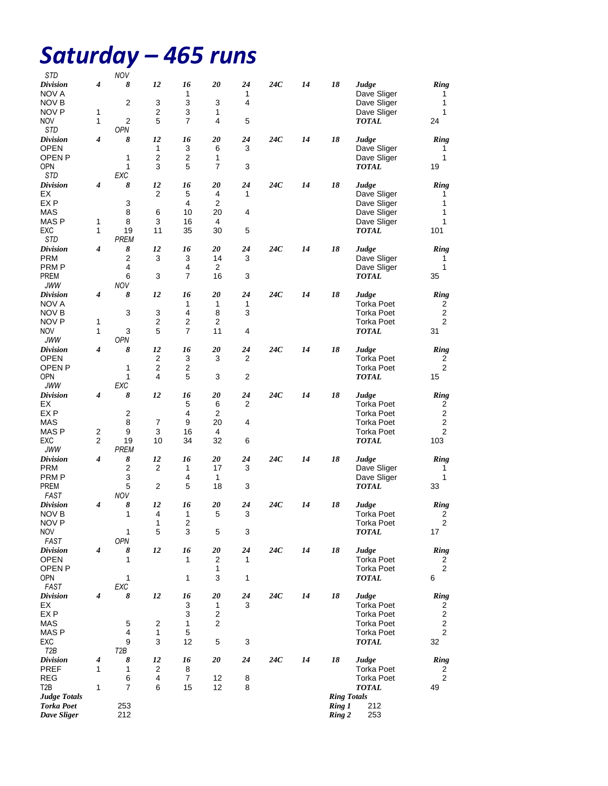# *Saturday – 465 runs*

| STD                                      |   | <b>NOV</b>       |                |                           |                |                |     |    |                    |                      |                  |
|------------------------------------------|---|------------------|----------------|---------------------------|----------------|----------------|-----|----|--------------------|----------------------|------------------|
| <b>Division</b>                          | 4 | 8                | 12             | 16                        | 20             | 24             | 24C | 14 | 18                 | Judge                | Ring             |
| NOV A                                    |   |                  |                | 1                         |                | 1              |     |    |                    | Dave Sliger          | 1                |
| <b>NOV B</b>                             |   | 2                | 3              | 3                         | 3              | 4              |     |    |                    | Dave Sliger          | 1                |
| NOV P                                    | 1 |                  | 2              | 3                         | 1              |                |     |    |                    | Dave Sliger          | 1                |
| <b>NOV</b>                               | 1 | 2                | 5              | 7                         | 4              | 5              |     |    |                    | TOTAL                | 24               |
| STD                                      |   | <b>OPN</b>       |                |                           |                |                |     |    |                    |                      |                  |
| <b>Division</b>                          | 4 | 8                | 12             | 16                        | 20             | 24             | 24C | 14 | 18                 | Judge                | Ring             |
| OPEN                                     |   |                  | 1              | 3                         | 6              | 3              |     |    |                    | Dave Sliger          | 1                |
| <b>OPEN P</b>                            |   | 1                | 2              | 2                         | 1              |                |     |    |                    | Dave Sliger          | 1                |
| <b>OPN</b>                               |   | 1                | 3              | 5                         | 7              | 3              |     |    |                    | <b>TOTAL</b>         | 19               |
| STD                                      |   | EXC              |                |                           |                |                |     |    |                    |                      |                  |
| <b>Division</b><br>ЕX                    | 4 | 8                | 12<br>2        | 16<br>5                   | 20<br>4        | 24<br>1        | 24C | 14 | 18                 | Judge<br>Dave Sliger | Ring<br>1        |
| EX <sub>P</sub>                          |   | 3                |                | 4                         | 2              |                |     |    |                    | Dave Sliger          | 1                |
| MAS                                      |   | 8                | 6              | 10                        | 20             | 4              |     |    |                    | Dave Sliger          | 1                |
| MAS P                                    | 1 | 8                | 3              | 16                        | 4              |                |     |    |                    | Dave Sliger          | 1                |
| EXC                                      | 1 | 19               | 11             | 35                        | 30             | 5              |     |    |                    | <b>TOTAL</b>         | 101              |
| STD                                      |   | <b>PREM</b>      |                |                           |                |                |     |    |                    |                      |                  |
| <b>Division</b>                          | 4 | 8                | 12             | 16                        | 20             | 24             | 24C | 14 | 18                 | Judge                | Ring             |
| <b>PRM</b>                               |   | 2                | 3              | 3                         | 14             | 3              |     |    |                    | Dave Sliger          | 1                |
| PRM P                                    |   | 4                |                | 4                         | 2              |                |     |    |                    | Dave Sliger          | 1                |
| <b>PREM</b>                              |   | 6                | 3              | $\overline{7}$            | 16             | 3              |     |    |                    | TOTAL                | 35               |
| JWW                                      |   | <b>NOV</b>       |                |                           |                |                |     |    |                    |                      |                  |
| <i>Division</i>                          | 4 | 8                | 12             | 16                        | 20             | 24             | 24C | 14 | 18                 | Judge                | <b>Ring</b>      |
| NOV A                                    |   |                  |                | 1                         | 1              | 1              |     |    |                    | <b>Torka Poet</b>    | 2                |
| NOV B                                    |   | 3                | 3              | 4                         | 8              | 3              |     |    |                    | Torka Poet           | $\overline{2}$   |
| NOV P                                    | 1 |                  | 2              | $\overline{2}$            | $\overline{2}$ |                |     |    |                    | <b>Torka Poet</b>    | $\overline{2}$   |
| <b>NOV</b>                               | 1 | 3                | 5              | $\overline{7}$            | 11             | 4              |     |    |                    | <b>TOTAL</b>         | 31               |
| JWW                                      |   | OPN              |                |                           |                |                |     |    |                    |                      |                  |
| <b>Division</b>                          | 4 | 8                | 12             | 16                        | 20             | 24             | 24C | 14 | 18                 | Judge                | Ring             |
| OPEN                                     |   |                  | 2              | 3                         | 3              | 2              |     |    |                    | <b>Torka Poet</b>    | 2                |
| OPEN <sub>P</sub>                        |   | 1                | $\overline{2}$ | 2                         |                |                |     |    |                    | <b>Torka Poet</b>    | $\overline{2}$   |
| <b>OPN</b>                               |   | 1                | 4              | 5                         | 3              | $\overline{2}$ |     |    |                    | <b>TOTAL</b>         | 15               |
| <b>JWW</b>                               |   | <b>EXC</b>       |                |                           |                |                |     |    |                    |                      |                  |
| <b>Division</b>                          | 4 | 8                | 12             | 16                        | 20             | 24             | 24C | 14 | 18                 | Judge                | Ring             |
| EХ                                       |   |                  |                | 5                         | 6              | 2              |     |    |                    | Torka Poet           | 2                |
| EX P                                     |   | 2                |                | $\overline{4}$            | 2              |                |     |    |                    | Torka Poet           | 2                |
| <b>MAS</b>                               |   | 8                | 7              | 9                         | 20             | 4              |     |    |                    | Torka Poet           | 2                |
| <b>MASP</b>                              | 2 | 9                | 3              | 16                        | 4              |                |     |    |                    | <b>Torka Poet</b>    | $\overline{2}$   |
| EXC                                      | 2 | 19               | 10             | 34                        | 32             | 6              |     |    |                    | <b>TOTAL</b>         | 103              |
| JWW                                      |   | PREM             |                |                           |                |                |     |    |                    |                      |                  |
| <b>Division</b><br><b>PRM</b>            | 4 | 8<br>2           | 12<br>2        | 16<br>1                   | 20<br>17       | 24<br>3        | 24C | 14 | 18                 | Judge<br>Dave Sliger | Ring<br>1        |
| <b>PRMP</b>                              |   | 3                |                | 4                         | 1              |                |     |    |                    | Dave Sliger          | 1                |
| <b>PREM</b>                              |   | 5                | 2              | 5                         | 18             | 3              |     |    |                    | <b>TOTAL</b>         | 33               |
| FAST                                     |   | NOV              |                |                           |                |                |     |    |                    |                      |                  |
| <b>Division</b>                          | 4 | 8                | 12             | 16                        | 20             | 24             | 24C | 14 | 18                 | Judge                | <b>Ring</b>      |
| NOV B                                    |   | 1                | 4              | 1                         | 5              | 3              |     |    |                    | <b>Torka Poet</b>    | 2                |
| NOV <sub>P</sub>                         |   |                  | $\mathbf{1}$   | $\overline{\mathbf{c}}$   |                |                |     |    |                    | <b>Torka Poet</b>    | $\overline{c}$   |
| <b>NOV</b>                               |   | 1                | 5              | 3                         | 5              | 3              |     |    |                    | <b>TOTAL</b>         | 17               |
| FAST                                     |   | OPN              |                |                           |                |                |     |    |                    |                      |                  |
| <b>Division</b>                          | 4 | 8                | 12             | 16                        | 20             | 24             | 24C | 14 | 18                 | Judge                | Ring             |
| <b>OPEN</b>                              |   | 1                |                | 1                         | $\overline{c}$ | 1              |     |    |                    | <b>Torka Poet</b>    | 2                |
| OPEN <sub>P</sub>                        |   |                  |                |                           | 1              |                |     |    |                    | <b>Torka Poet</b>    | $\boldsymbol{2}$ |
| <b>OPN</b>                               |   | 1                |                | 1                         | 3              | 1              |     |    |                    | <b>TOTAL</b>         | 6                |
| <b>FAST</b>                              |   | EXC              |                |                           |                |                |     |    |                    |                      |                  |
| <b>Division</b>                          | 4 | 8                | 12             | 16                        | 20             | 24             | 24C | 14 | 18                 | Judge                | Ring             |
| ЕX                                       |   |                  |                | 3                         | 1              | 3              |     |    |                    | <b>Torka Poet</b>    | 2                |
| EX P                                     |   |                  |                | $\ensuremath{\mathsf{3}}$ | 2              |                |     |    |                    | <b>Torka Poet</b>    | $\overline{2}$   |
| <b>MAS</b>                               |   | 5                | 2              | $\mathbf{1}$              | $\overline{c}$ |                |     |    |                    | <b>Torka Poet</b>    | $\boldsymbol{2}$ |
| MAS <sub>P</sub>                         |   | 4                | 1              | 5                         |                |                |     |    |                    | <b>Torka Poet</b>    | 2                |
| EXC                                      |   | 9                | 3              | 12                        | 5              | 3              |     |    |                    | <b>TOTAL</b>         | 32               |
| T <sub>2</sub> B                         |   | T <sub>2</sub> B |                |                           |                |                |     |    |                    |                      |                  |
| <b>Division</b>                          | 4 | 8                | 12             | 16                        | 20             | 24             | 24C | 14 | 18                 | Judge                | Ring             |
| <b>PREF</b>                              | 1 | 1                | 2              | 8                         |                |                |     |    |                    | <b>Torka Poet</b>    | 2                |
| <b>REG</b>                               |   | 6                | 4              | $\boldsymbol{7}$          | 12             | 8              |     |    |                    | <b>Torka Poet</b>    | $\overline{c}$   |
| T <sub>2</sub> B                         | 1 | 7                | 6              | 15                        | 12             | 8              |     |    |                    | <b>TOTAL</b>         | 49               |
| <b>Judge Totals</b><br><b>Torka Poet</b> |   |                  |                |                           |                |                |     |    | <b>Ring Totals</b> | 212                  |                  |
| Dave Sliger                              |   | 253<br>212       |                |                           |                |                |     |    | Ring 1<br>Ring 2   | 253                  |                  |
|                                          |   |                  |                |                           |                |                |     |    |                    |                      |                  |